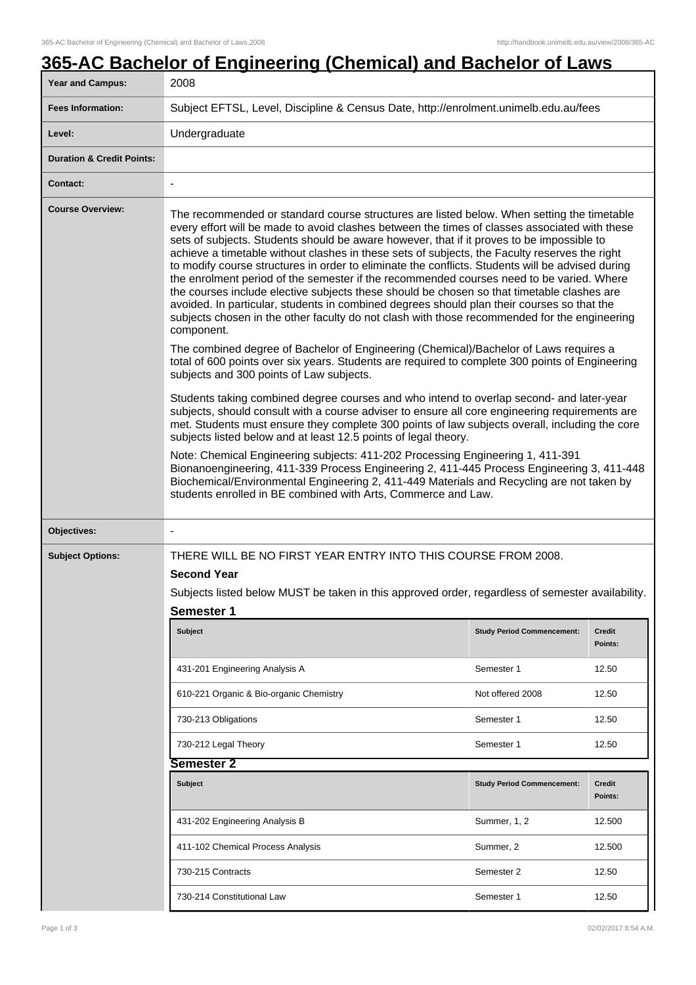# **365-AC Bachelor of Engineering (Chemical) and Bachelor of Laws**

| <b>Year and Campus:</b>              | 2008                                                                                                                                                                                                                                                                                                                                                                                                                                                                                                                                                                                                                                                                                                                                                                                                                                                                                                                                                                                                                                                                                                                                                                                                                                                                                                                                                                                                                                                                                                                                                                                                                                                                                                                                                                                                                                                        |                                   |                          |  |
|--------------------------------------|-------------------------------------------------------------------------------------------------------------------------------------------------------------------------------------------------------------------------------------------------------------------------------------------------------------------------------------------------------------------------------------------------------------------------------------------------------------------------------------------------------------------------------------------------------------------------------------------------------------------------------------------------------------------------------------------------------------------------------------------------------------------------------------------------------------------------------------------------------------------------------------------------------------------------------------------------------------------------------------------------------------------------------------------------------------------------------------------------------------------------------------------------------------------------------------------------------------------------------------------------------------------------------------------------------------------------------------------------------------------------------------------------------------------------------------------------------------------------------------------------------------------------------------------------------------------------------------------------------------------------------------------------------------------------------------------------------------------------------------------------------------------------------------------------------------------------------------------------------------|-----------------------------------|--------------------------|--|
| <b>Fees Information:</b>             | Subject EFTSL, Level, Discipline & Census Date, http://enrolment.unimelb.edu.au/fees                                                                                                                                                                                                                                                                                                                                                                                                                                                                                                                                                                                                                                                                                                                                                                                                                                                                                                                                                                                                                                                                                                                                                                                                                                                                                                                                                                                                                                                                                                                                                                                                                                                                                                                                                                        |                                   |                          |  |
| Level:                               | Undergraduate                                                                                                                                                                                                                                                                                                                                                                                                                                                                                                                                                                                                                                                                                                                                                                                                                                                                                                                                                                                                                                                                                                                                                                                                                                                                                                                                                                                                                                                                                                                                                                                                                                                                                                                                                                                                                                               |                                   |                          |  |
| <b>Duration &amp; Credit Points:</b> |                                                                                                                                                                                                                                                                                                                                                                                                                                                                                                                                                                                                                                                                                                                                                                                                                                                                                                                                                                                                                                                                                                                                                                                                                                                                                                                                                                                                                                                                                                                                                                                                                                                                                                                                                                                                                                                             |                                   |                          |  |
| <b>Contact:</b>                      |                                                                                                                                                                                                                                                                                                                                                                                                                                                                                                                                                                                                                                                                                                                                                                                                                                                                                                                                                                                                                                                                                                                                                                                                                                                                                                                                                                                                                                                                                                                                                                                                                                                                                                                                                                                                                                                             |                                   |                          |  |
| <b>Course Overview:</b>              | The recommended or standard course structures are listed below. When setting the timetable<br>every effort will be made to avoid clashes between the times of classes associated with these<br>sets of subjects. Students should be aware however, that if it proves to be impossible to<br>achieve a timetable without clashes in these sets of subjects, the Faculty reserves the right<br>to modify course structures in order to eliminate the conflicts. Students will be advised during<br>the enrolment period of the semester if the recommended courses need to be varied. Where<br>the courses include elective subjects these should be chosen so that timetable clashes are<br>avoided. In particular, students in combined degrees should plan their courses so that the<br>subjects chosen in the other faculty do not clash with those recommended for the engineering<br>component.<br>The combined degree of Bachelor of Engineering (Chemical)/Bachelor of Laws requires a<br>total of 600 points over six years. Students are required to complete 300 points of Engineering<br>subjects and 300 points of Law subjects.<br>Students taking combined degree courses and who intend to overlap second- and later-year<br>subjects, should consult with a course adviser to ensure all core engineering requirements are<br>met. Students must ensure they complete 300 points of law subjects overall, including the core<br>subjects listed below and at least 12.5 points of legal theory.<br>Note: Chemical Engineering subjects: 411-202 Processing Engineering 1, 411-391<br>Bionanoengineering, 411-339 Process Engineering 2, 411-445 Process Engineering 3, 411-448<br>Biochemical/Environmental Engineering 2, 411-449 Materials and Recycling are not taken by<br>students enrolled in BE combined with Arts, Commerce and Law. |                                   |                          |  |
| Objectives:                          | $\overline{\phantom{a}}$                                                                                                                                                                                                                                                                                                                                                                                                                                                                                                                                                                                                                                                                                                                                                                                                                                                                                                                                                                                                                                                                                                                                                                                                                                                                                                                                                                                                                                                                                                                                                                                                                                                                                                                                                                                                                                    |                                   |                          |  |
| <b>Subject Options:</b>              | THERE WILL BE NO FIRST YEAR ENTRY INTO THIS COURSE FROM 2008.                                                                                                                                                                                                                                                                                                                                                                                                                                                                                                                                                                                                                                                                                                                                                                                                                                                                                                                                                                                                                                                                                                                                                                                                                                                                                                                                                                                                                                                                                                                                                                                                                                                                                                                                                                                               |                                   |                          |  |
|                                      | <b>Second Year</b>                                                                                                                                                                                                                                                                                                                                                                                                                                                                                                                                                                                                                                                                                                                                                                                                                                                                                                                                                                                                                                                                                                                                                                                                                                                                                                                                                                                                                                                                                                                                                                                                                                                                                                                                                                                                                                          |                                   |                          |  |
|                                      | Subjects listed below MUST be taken in this approved order, regardless of semester availability.                                                                                                                                                                                                                                                                                                                                                                                                                                                                                                                                                                                                                                                                                                                                                                                                                                                                                                                                                                                                                                                                                                                                                                                                                                                                                                                                                                                                                                                                                                                                                                                                                                                                                                                                                            |                                   |                          |  |
|                                      | <b>Semester 1</b>                                                                                                                                                                                                                                                                                                                                                                                                                                                                                                                                                                                                                                                                                                                                                                                                                                                                                                                                                                                                                                                                                                                                                                                                                                                                                                                                                                                                                                                                                                                                                                                                                                                                                                                                                                                                                                           |                                   |                          |  |
|                                      | <b>Subject</b>                                                                                                                                                                                                                                                                                                                                                                                                                                                                                                                                                                                                                                                                                                                                                                                                                                                                                                                                                                                                                                                                                                                                                                                                                                                                                                                                                                                                                                                                                                                                                                                                                                                                                                                                                                                                                                              | <b>Study Period Commencement:</b> | <b>Credit</b><br>Points: |  |
|                                      | 431-201 Engineering Analysis A                                                                                                                                                                                                                                                                                                                                                                                                                                                                                                                                                                                                                                                                                                                                                                                                                                                                                                                                                                                                                                                                                                                                                                                                                                                                                                                                                                                                                                                                                                                                                                                                                                                                                                                                                                                                                              | Semester 1                        | 12.50                    |  |
|                                      | 610-221 Organic & Bio-organic Chemistry                                                                                                                                                                                                                                                                                                                                                                                                                                                                                                                                                                                                                                                                                                                                                                                                                                                                                                                                                                                                                                                                                                                                                                                                                                                                                                                                                                                                                                                                                                                                                                                                                                                                                                                                                                                                                     | Not offered 2008                  | 12.50                    |  |
|                                      | 730-213 Obligations                                                                                                                                                                                                                                                                                                                                                                                                                                                                                                                                                                                                                                                                                                                                                                                                                                                                                                                                                                                                                                                                                                                                                                                                                                                                                                                                                                                                                                                                                                                                                                                                                                                                                                                                                                                                                                         | Semester 1                        | 12.50                    |  |
|                                      | 730-212 Legal Theory                                                                                                                                                                                                                                                                                                                                                                                                                                                                                                                                                                                                                                                                                                                                                                                                                                                                                                                                                                                                                                                                                                                                                                                                                                                                                                                                                                                                                                                                                                                                                                                                                                                                                                                                                                                                                                        | Semester 1                        | 12.50                    |  |
|                                      | Semester 2                                                                                                                                                                                                                                                                                                                                                                                                                                                                                                                                                                                                                                                                                                                                                                                                                                                                                                                                                                                                                                                                                                                                                                                                                                                                                                                                                                                                                                                                                                                                                                                                                                                                                                                                                                                                                                                  |                                   |                          |  |
|                                      | <b>Subject</b>                                                                                                                                                                                                                                                                                                                                                                                                                                                                                                                                                                                                                                                                                                                                                                                                                                                                                                                                                                                                                                                                                                                                                                                                                                                                                                                                                                                                                                                                                                                                                                                                                                                                                                                                                                                                                                              | <b>Study Period Commencement:</b> | <b>Credit</b><br>Points: |  |
|                                      | 431-202 Engineering Analysis B                                                                                                                                                                                                                                                                                                                                                                                                                                                                                                                                                                                                                                                                                                                                                                                                                                                                                                                                                                                                                                                                                                                                                                                                                                                                                                                                                                                                                                                                                                                                                                                                                                                                                                                                                                                                                              | Summer, 1, 2                      | 12.500                   |  |
|                                      | 411-102 Chemical Process Analysis                                                                                                                                                                                                                                                                                                                                                                                                                                                                                                                                                                                                                                                                                                                                                                                                                                                                                                                                                                                                                                                                                                                                                                                                                                                                                                                                                                                                                                                                                                                                                                                                                                                                                                                                                                                                                           | Summer, 2                         | 12.500                   |  |
|                                      | 730-215 Contracts                                                                                                                                                                                                                                                                                                                                                                                                                                                                                                                                                                                                                                                                                                                                                                                                                                                                                                                                                                                                                                                                                                                                                                                                                                                                                                                                                                                                                                                                                                                                                                                                                                                                                                                                                                                                                                           | Semester 2                        | 12.50                    |  |
|                                      | 730-214 Constitutional Law                                                                                                                                                                                                                                                                                                                                                                                                                                                                                                                                                                                                                                                                                                                                                                                                                                                                                                                                                                                                                                                                                                                                                                                                                                                                                                                                                                                                                                                                                                                                                                                                                                                                                                                                                                                                                                  | Semester 1                        | 12.50                    |  |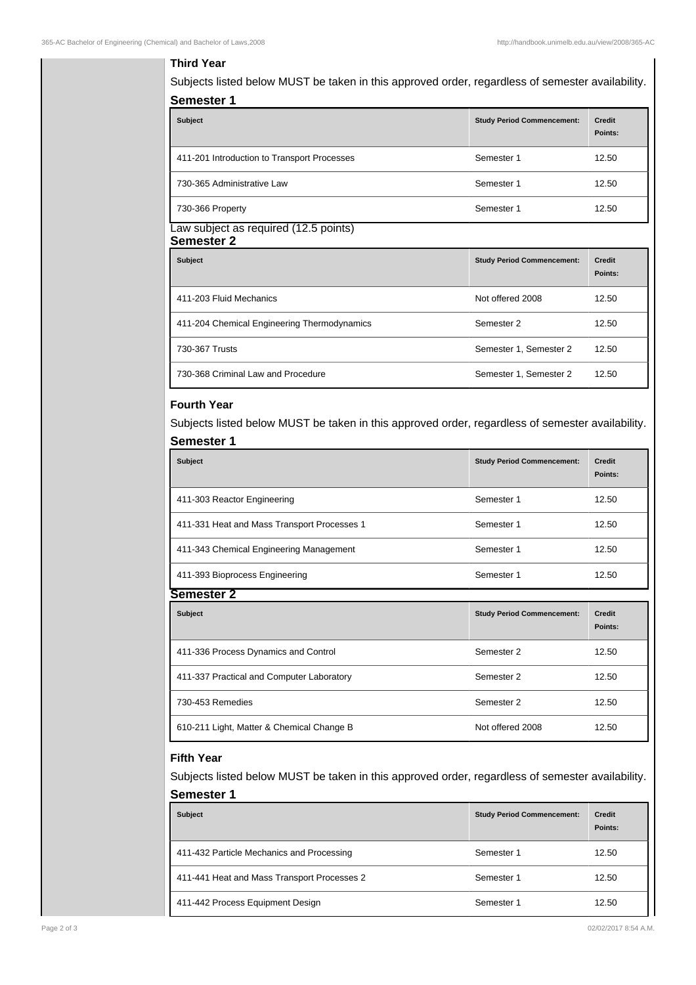## **Third Year**

Subjects listed below MUST be taken in this approved order, regardless of semester availability. **Semester 1**

| <b>Subject</b>                              | <b>Study Period Commencement:</b> | <b>Credit</b><br>Points: |
|---------------------------------------------|-----------------------------------|--------------------------|
| 411-201 Introduction to Transport Processes | Semester 1                        | 12.50                    |
| 730-365 Administrative Law                  | Semester 1                        | 12.50                    |
| 730-366 Property                            | Semester 1                        | 12.50                    |

#### Law subject as required (12.5 points) **Semester 2**

| ---------                                   |                                   |                          |
|---------------------------------------------|-----------------------------------|--------------------------|
| <b>Subject</b>                              | <b>Study Period Commencement:</b> | <b>Credit</b><br>Points: |
| 411-203 Fluid Mechanics                     | Not offered 2008                  | 12.50                    |
| 411-204 Chemical Engineering Thermodynamics | Semester 2                        | 12.50                    |
| 730-367 Trusts                              | Semester 1, Semester 2            | 12.50                    |
| 730-368 Criminal Law and Procedure          | Semester 1, Semester 2            | 12.50                    |

## **Fourth Year**

Subjects listed below MUST be taken in this approved order, regardless of semester availability. **Semester 1**

| <b>Subject</b>                              | <b>Study Period Commencement:</b> | Credit<br>Points: |
|---------------------------------------------|-----------------------------------|-------------------|
| 411-303 Reactor Engineering                 | Semester 1                        | 12.50             |
| 411-331 Heat and Mass Transport Processes 1 | Semester 1                        | 12.50             |
| 411-343 Chemical Engineering Management     | Semester 1                        | 12.50             |
| 411-393 Bioprocess Engineering              | Semester 1                        | 12.50             |
| Semester                                    |                                   |                   |

| <b>Subject</b>                            | <b>Study Period Commencement:</b> | <b>Credit</b><br>Points: |
|-------------------------------------------|-----------------------------------|--------------------------|
| 411-336 Process Dynamics and Control      | Semester 2                        | 12.50                    |
| 411-337 Practical and Computer Laboratory | Semester 2                        | 12.50                    |
| 730-453 Remedies                          | Semester 2                        | 12.50                    |
| 610-211 Light, Matter & Chemical Change B | Not offered 2008                  | 12.50                    |

### **Fifth Year**

Subjects listed below MUST be taken in this approved order, regardless of semester availability. **Semester 1**

| <b>Subject</b>                              | <b>Study Period Commencement:</b> | <b>Credit</b><br>Points: |
|---------------------------------------------|-----------------------------------|--------------------------|
| 411-432 Particle Mechanics and Processing   | Semester 1                        | 12.50                    |
| 411-441 Heat and Mass Transport Processes 2 | Semester 1                        | 12.50                    |
| 411-442 Process Equipment Design            | Semester 1                        | 12.50                    |